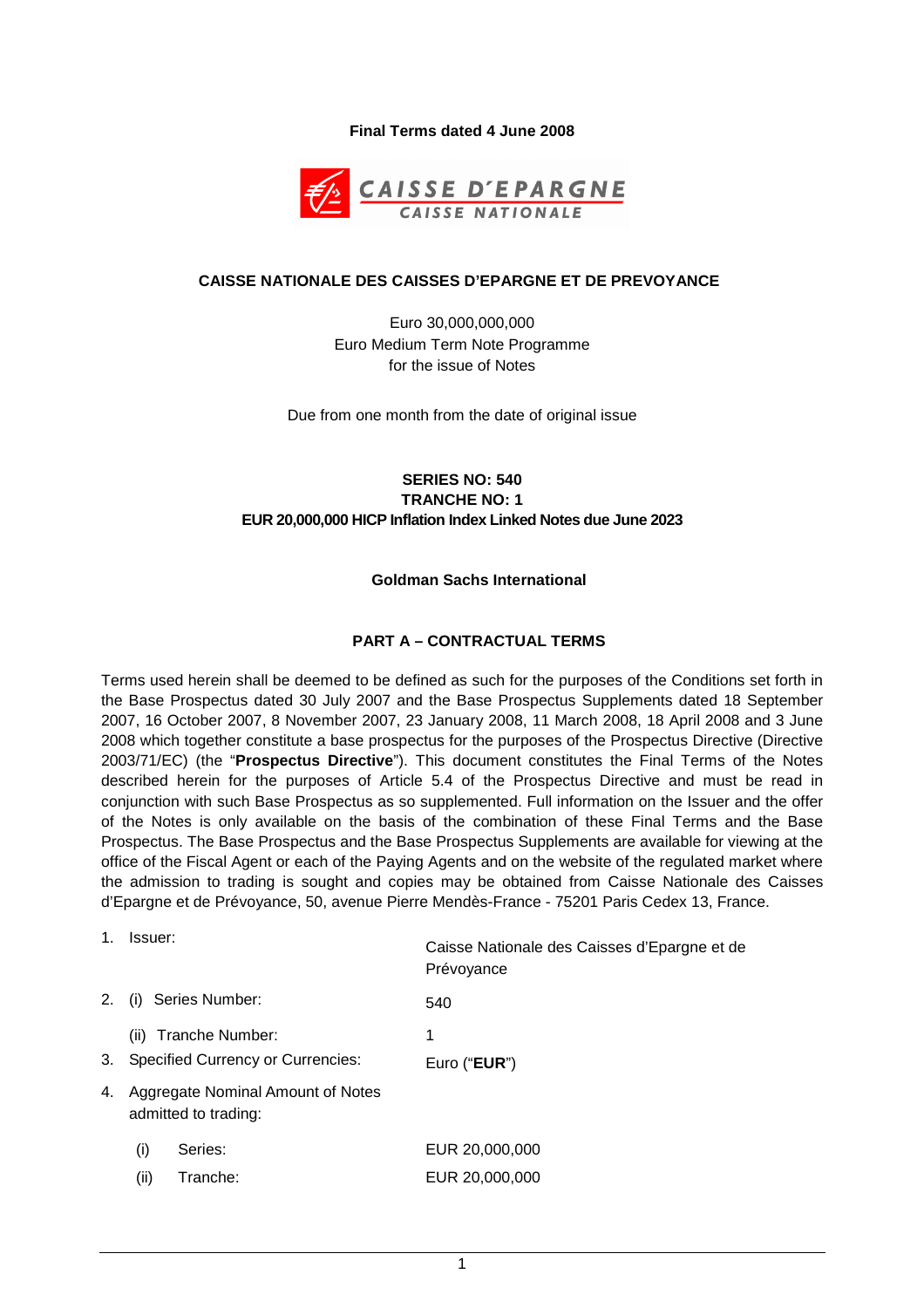### **Final Terms dated 4 June 2008**



#### **CAISSE NATIONALE DES CAISSES D'EPARGNE ET DE PREVOYANCE**

Euro 30,000,000,000 Euro Medium Term Note Programme for the issue of Notes

Due from one month from the date of original issue

# **SERIES NO: 540 TRANCHE NO: 1 EUR 20,000,000 HICP Inflation Index Linked Notes due June 2023**

#### **Goldman Sachs International**

### **PART A – CONTRACTUAL TERMS**

Terms used herein shall be deemed to be defined as such for the purposes of the Conditions set forth in the Base Prospectus dated 30 July 2007 and the Base Prospectus Supplements dated 18 September 2007, 16 October 2007, 8 November 2007, 23 January 2008, 11 March 2008, 18 April 2008 and 3 June 2008 which together constitute a base prospectus for the purposes of the Prospectus Directive (Directive 2003/71/EC) (the "**Prospectus Directive**"). This document constitutes the Final Terms of the Notes described herein for the purposes of Article 5.4 of the Prospectus Directive and must be read in conjunction with such Base Prospectus as so supplemented. Full information on the Issuer and the offer of the Notes is only available on the basis of the combination of these Final Terms and the Base Prospectus. The Base Prospectus and the Base Prospectus Supplements are available for viewing at the office of the Fiscal Agent or each of the Paying Agents and on the website of the regulated market where the admission to trading is sought and copies may be obtained from Caisse Nationale des Caisses d'Epargne et de Prévoyance, 50, avenue Pierre Mendès-France - 75201 Paris Cedex 13, France.

| 1. | Issuer:                                                   | Caisse Nationale des Caisses d'Epargne et de<br>Prévoyance |
|----|-----------------------------------------------------------|------------------------------------------------------------|
| 2. | Series Number:<br>(i)                                     | 540                                                        |
|    | (ii) Tranche Number:                                      | 1                                                          |
| 3. | <b>Specified Currency or Currencies:</b>                  | Euro (" <b>EUR</b> ")                                      |
| 4. | Aggregate Nominal Amount of Notes<br>admitted to trading: |                                                            |
|    | Series:<br>(i)                                            | EUR 20,000,000                                             |
|    |                                                           |                                                            |

(ii) Tranche: EUR 20,000,000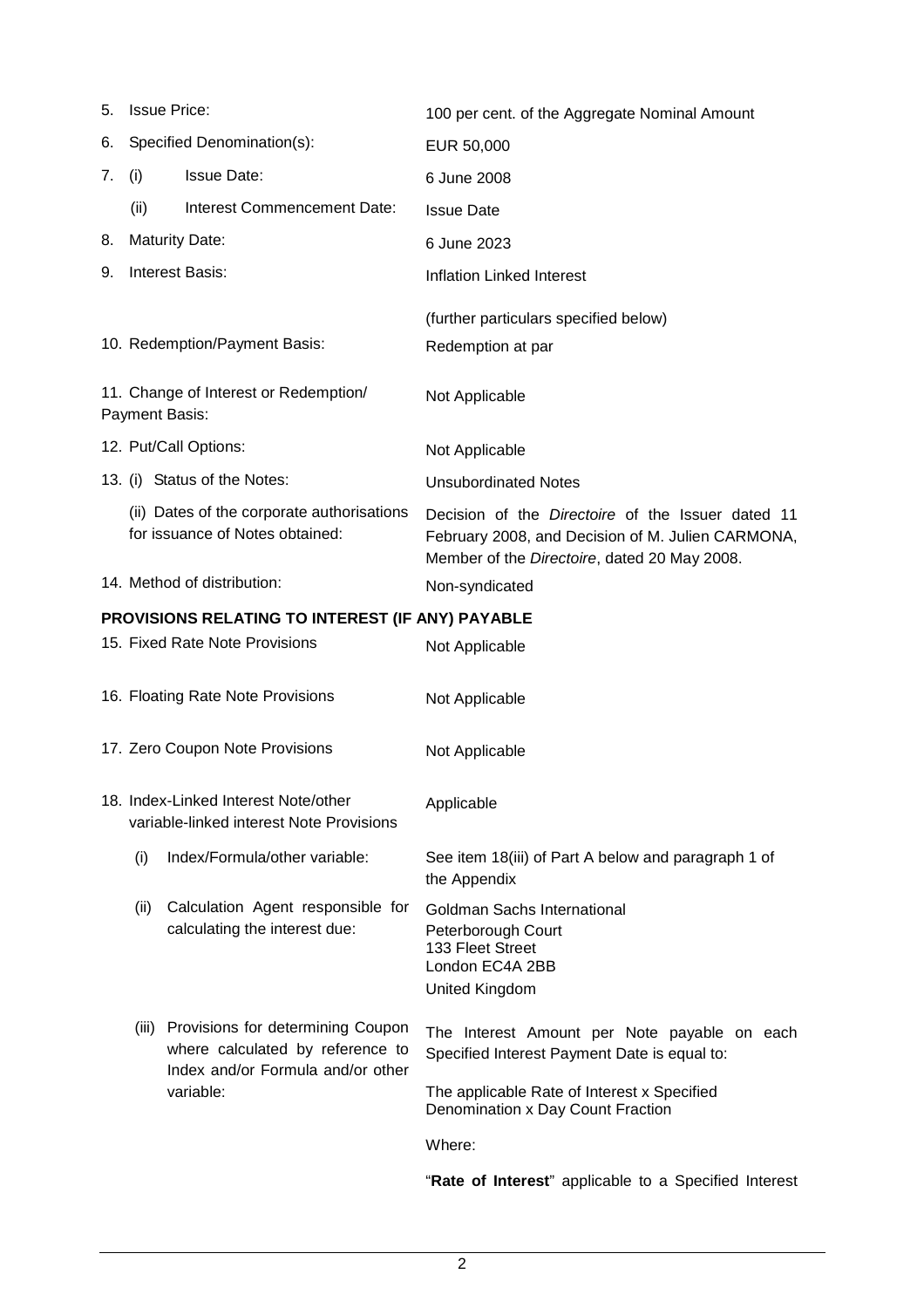| 5.                                               |       | <b>Issue Price:</b>                                                                                        | 100 per cent. of the Aggregate Nominal Amount                                                                                                                 |
|--------------------------------------------------|-------|------------------------------------------------------------------------------------------------------------|---------------------------------------------------------------------------------------------------------------------------------------------------------------|
| 6.                                               |       | Specified Denomination(s):                                                                                 | EUR 50,000                                                                                                                                                    |
| 7.                                               | (i)   | <b>Issue Date:</b>                                                                                         | 6 June 2008                                                                                                                                                   |
|                                                  | (ii)  | Interest Commencement Date:                                                                                | <b>Issue Date</b>                                                                                                                                             |
| 8.                                               |       | <b>Maturity Date:</b>                                                                                      | 6 June 2023                                                                                                                                                   |
| 9.                                               |       | <b>Interest Basis:</b>                                                                                     | <b>Inflation Linked Interest</b>                                                                                                                              |
|                                                  |       |                                                                                                            | (further particulars specified below)                                                                                                                         |
|                                                  |       | 10. Redemption/Payment Basis:                                                                              | Redemption at par                                                                                                                                             |
|                                                  |       | 11. Change of Interest or Redemption/<br>Payment Basis:                                                    | Not Applicable                                                                                                                                                |
|                                                  |       | 12. Put/Call Options:                                                                                      | Not Applicable                                                                                                                                                |
|                                                  |       | 13. (i) Status of the Notes:                                                                               | <b>Unsubordinated Notes</b>                                                                                                                                   |
|                                                  |       | (ii) Dates of the corporate authorisations<br>for issuance of Notes obtained:                              | Decision of the <i>Directoire</i> of the Issuer dated 11<br>February 2008, and Decision of M. Julien CARMONA,<br>Member of the Directoire, dated 20 May 2008. |
|                                                  |       | 14. Method of distribution:                                                                                | Non-syndicated                                                                                                                                                |
| PROVISIONS RELATING TO INTEREST (IF ANY) PAYABLE |       |                                                                                                            |                                                                                                                                                               |
|                                                  |       | 15. Fixed Rate Note Provisions                                                                             | Not Applicable                                                                                                                                                |
|                                                  |       | 16. Floating Rate Note Provisions                                                                          | Not Applicable                                                                                                                                                |
|                                                  |       | 17. Zero Coupon Note Provisions                                                                            | Not Applicable                                                                                                                                                |
|                                                  |       | 18. Index-Linked Interest Note/other<br>variable-linked interest Note Provisions                           | Applicable                                                                                                                                                    |
|                                                  | (i)   | Index/Formula/other variable:                                                                              | See item 18(iii) of Part A below and paragraph 1 of<br>the Appendix                                                                                           |
|                                                  | (ii)  | Calculation Agent responsible for<br>calculating the interest due:                                         | <b>Goldman Sachs International</b><br>Peterborough Court<br>133 Fleet Street<br>London EC4A 2BB<br>United Kingdom                                             |
|                                                  | (iii) | Provisions for determining Coupon<br>where calculated by reference to<br>Index and/or Formula and/or other | The Interest Amount per Note payable on each<br>Specified Interest Payment Date is equal to:                                                                  |
|                                                  |       | variable:                                                                                                  | The applicable Rate of Interest x Specified<br>Denomination x Day Count Fraction                                                                              |
|                                                  |       |                                                                                                            | Where:                                                                                                                                                        |

"**Rate of Interest**" applicable to a Specified Interest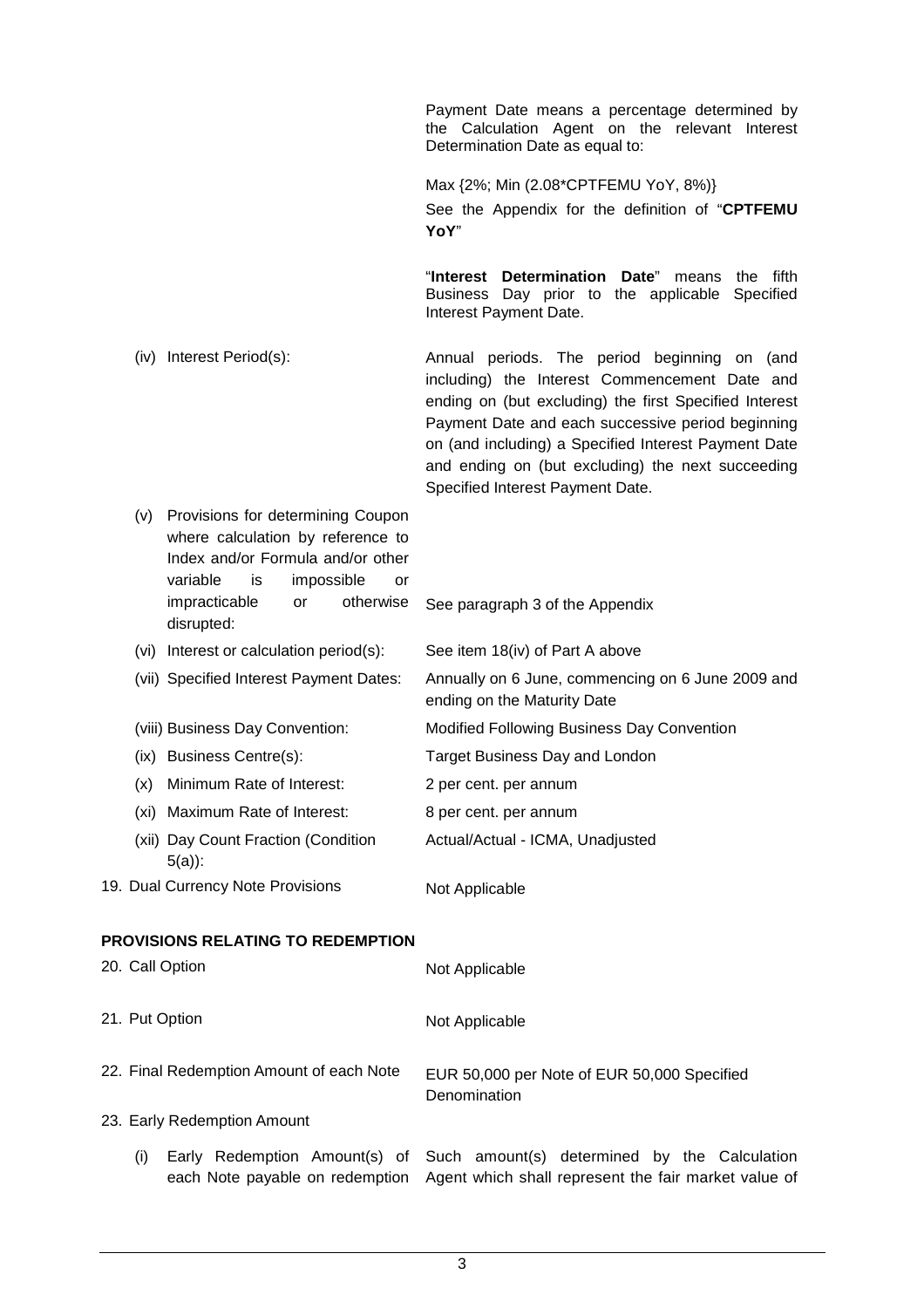Payment Date means a percentage determined by the Calculation Agent on the relevant Interest Determination Date as equal to:

Max {2%; Min (2.08\*CPTFEMU YoY, 8%)} See the Appendix for the definition of "**CPTFEMU YoY**"

"**Interest Determination Date**" means the fifth Business Day prior to the applicable Specified Interest Payment Date.

- (iv) Interest Period(s): Annual periods. The period beginning on (and including) the Interest Commencement Date and ending on (but excluding) the first Specified Interest Payment Date and each successive period beginning on (and including) a Specified Interest Payment Date and ending on (but excluding) the next succeeding Specified Interest Payment Date.
- (v) Provisions for determining Coupon where calculation by reference to Index and/or Formula and/or other variable is impossible or impracticable or otherwise disrupted: See paragraph 3 of the Appendix (vi) Interest or calculation period(s): See item 18(iv) of Part A above (vii) Specified Interest Payment Dates: Annually on 6 June, commencing on 6 June 2009 and ending on the Maturity Date (viii) Business Day Convention: Modified Following Business Day Convention (ix) Business Centre(s): Target Business Day and London (x) Minimum Rate of Interest: 2 per cent. per annum (xi) Maximum Rate of Interest: 8 per cent. per annum (xii) Day Count Fraction (Condition 5(a)): Actual/Actual - ICMA, Unadjusted 19. Dual Currency Note Provisions Not Applicable **PROVISIONS RELATING TO REDEMPTION** 20. Call Option Not Applicable 21. Put Option Not Applicable 22. Final Redemption Amount of each Note EUR 50,000 per Note of EUR 50,000 Specified Denomination 23. Early Redemption Amount (i) Early Redemption Amount(s) of each Note payable on redemption Agent which shall represent the fair market value of Such amount(s) determined by the Calculation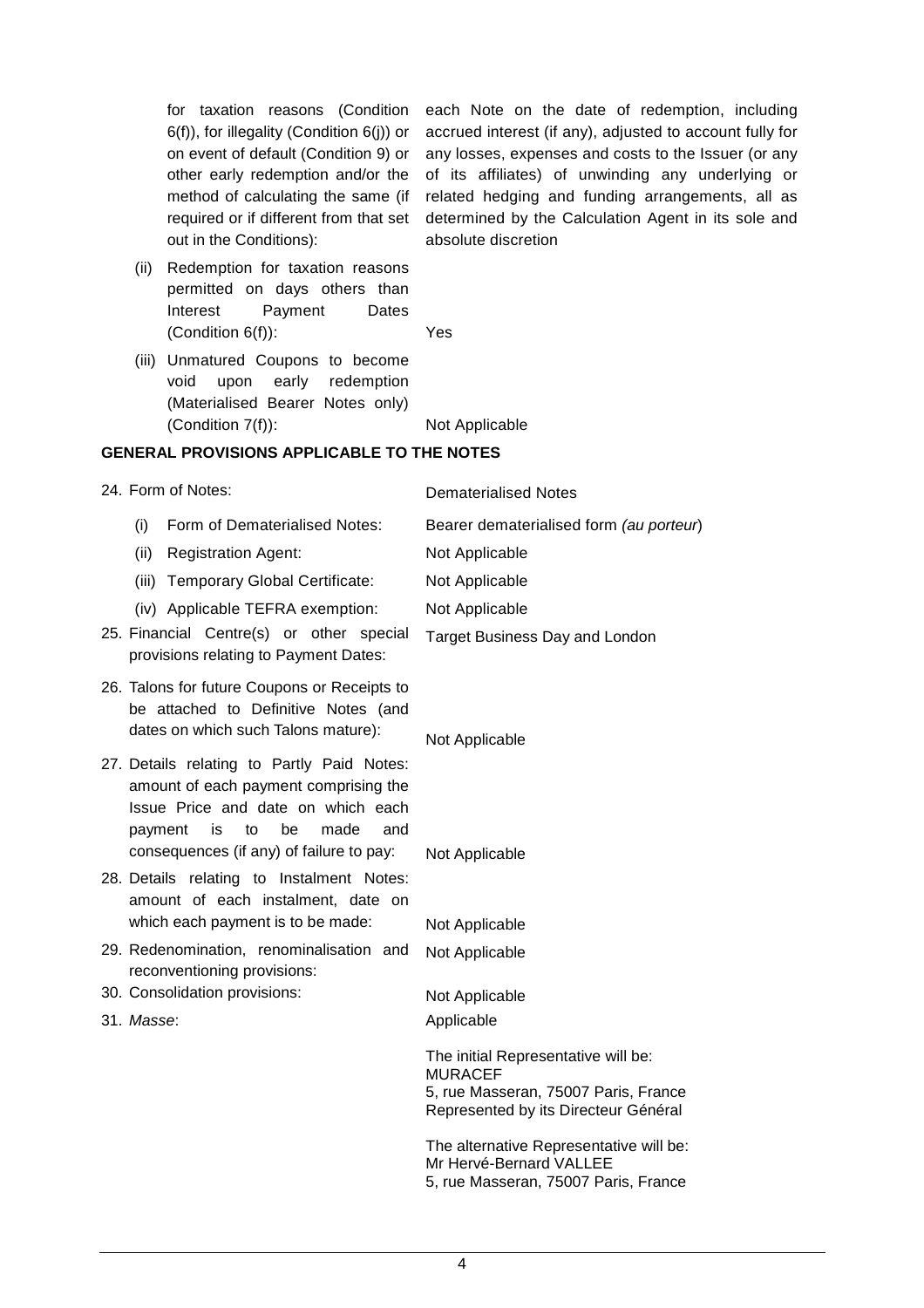6(f)), for illegality (Condition 6(j)) or on event of default (Condition 9) or other early redemption and/or the method of calculating the same (if required or if different from that set out in the Conditions):

for taxation reasons (Condition each Note on the date of redemption, including accrued interest (if any), adjusted to account fully for any losses, expenses and costs to the Issuer (or any of its affiliates) of unwinding any underlying or related hedging and funding arrangements, all as determined by the Calculation Agent in its sole and absolute discretion

- (ii) Redemption for taxation reasons permitted on days others than Interest Payment Dates (Condition 6(f)): Yes
	-
- (iii) Unmatured Coupons to become void upon early redemption (Materialised Bearer Notes only) (Condition 7(f)): Not Applicable

# **GENERAL PROVISIONS APPLICABLE TO THE NOTES**

| 24. Form of Notes:                                                                                                                                                                                                | <b>Dematerialised Notes</b>                                                                                                                                                      |
|-------------------------------------------------------------------------------------------------------------------------------------------------------------------------------------------------------------------|----------------------------------------------------------------------------------------------------------------------------------------------------------------------------------|
| (i)<br>Form of Dematerialised Notes:                                                                                                                                                                              | Bearer dematerialised form (au porteur)                                                                                                                                          |
| (ii)<br><b>Registration Agent:</b>                                                                                                                                                                                | Not Applicable                                                                                                                                                                   |
| Temporary Global Certificate:<br>(iii)                                                                                                                                                                            | Not Applicable                                                                                                                                                                   |
| (iv) Applicable TEFRA exemption:                                                                                                                                                                                  | Not Applicable                                                                                                                                                                   |
| 25. Financial Centre(s) or other special<br>provisions relating to Payment Dates:                                                                                                                                 | <b>Target Business Day and London</b>                                                                                                                                            |
| 26. Talons for future Coupons or Receipts to<br>be attached to Definitive Notes (and<br>dates on which such Talons mature):                                                                                       | Not Applicable                                                                                                                                                                   |
| 27. Details relating to Partly Paid Notes:<br>amount of each payment comprising the<br>Issue Price and date on which each<br>payment<br>to<br>be<br>made<br>and<br>is<br>consequences (if any) of failure to pay: |                                                                                                                                                                                  |
| 28. Details relating to Instalment Notes:<br>amount of each instalment, date on<br>which each payment is to be made:                                                                                              | Not Applicable                                                                                                                                                                   |
| 29. Redenomination, renominalisation and                                                                                                                                                                          | Not Applicable                                                                                                                                                                   |
| reconventioning provisions:                                                                                                                                                                                       | Not Applicable                                                                                                                                                                   |
| 30. Consolidation provisions:                                                                                                                                                                                     | Not Applicable                                                                                                                                                                   |
| 31. Masse:                                                                                                                                                                                                        | Applicable                                                                                                                                                                       |
|                                                                                                                                                                                                                   | The initial Representative will be:<br><b>MURACEF</b><br>5, rue Masseran, 75007 Paris, France<br>Represented by its Directeur Général<br>The alternative Representative will be: |
|                                                                                                                                                                                                                   | Mr Hervé-Bernard VALLEE<br>5, rue Masseran, 75007 Paris, France                                                                                                                  |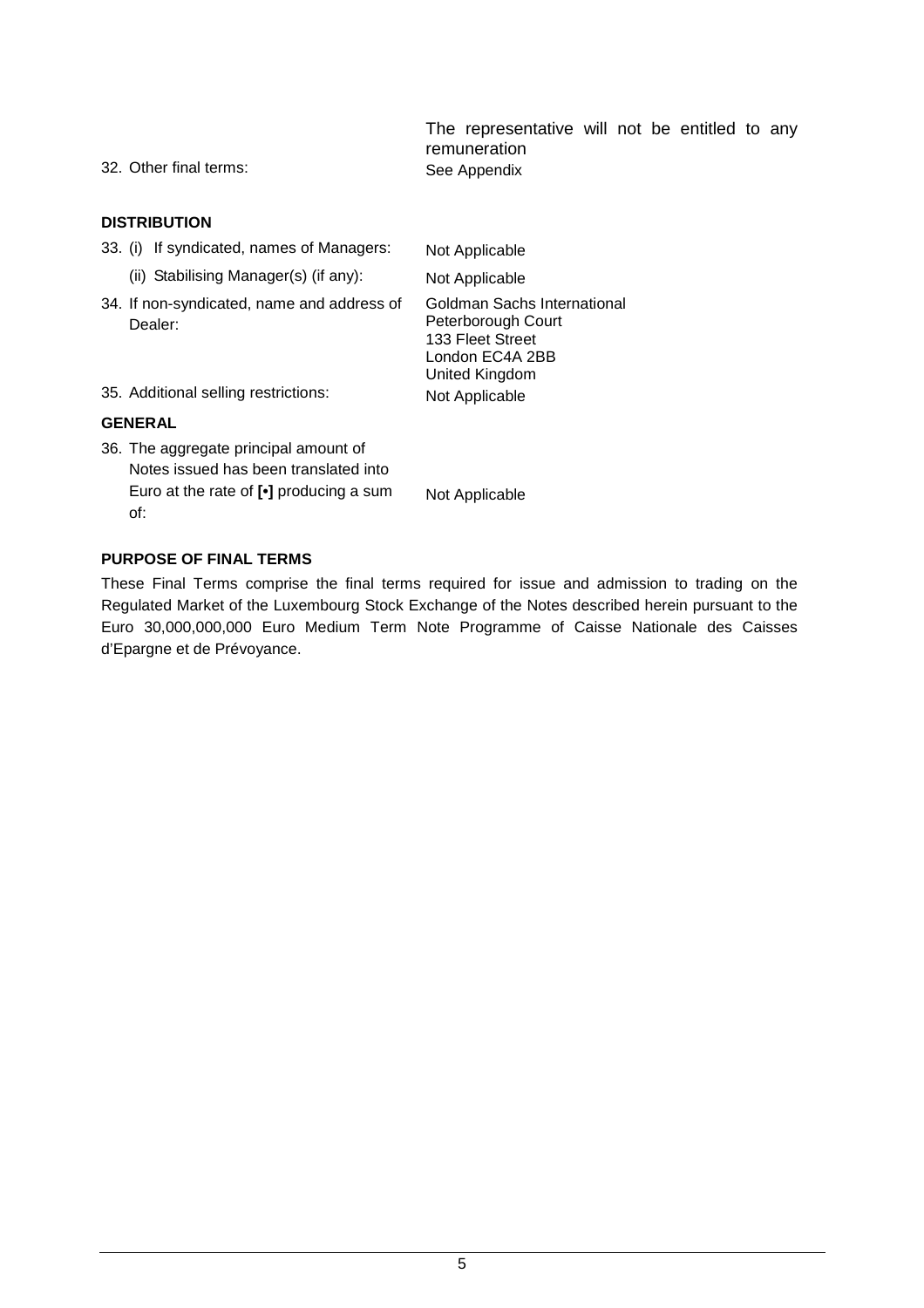The representative will not be entitled to any remuneration 32. Other final terms: See Appendix

### **DISTRIBUTION**

- 33. (i) If syndicated, names of Managers: Not Applicable
	- (ii) Stabilising Manager(s) (if any): Not Applicable
- 34. If non-syndicated, name and address of Dealer:

Goldman Sachs International Peterborough Court 133 Fleet Street London EC4A 2BB United Kingdom

35. Additional selling restrictions: Not Applicable

# **GENERAL**

36. The aggregate principal amount of Notes issued has been translated into Euro at the rate of **[•]** producing a sum of:

Not Applicable

# **PURPOSE OF FINAL TERMS**

These Final Terms comprise the final terms required for issue and admission to trading on the Regulated Market of the Luxembourg Stock Exchange of the Notes described herein pursuant to the Euro 30,000,000,000 Euro Medium Term Note Programme of Caisse Nationale des Caisses d'Epargne et de Prévoyance.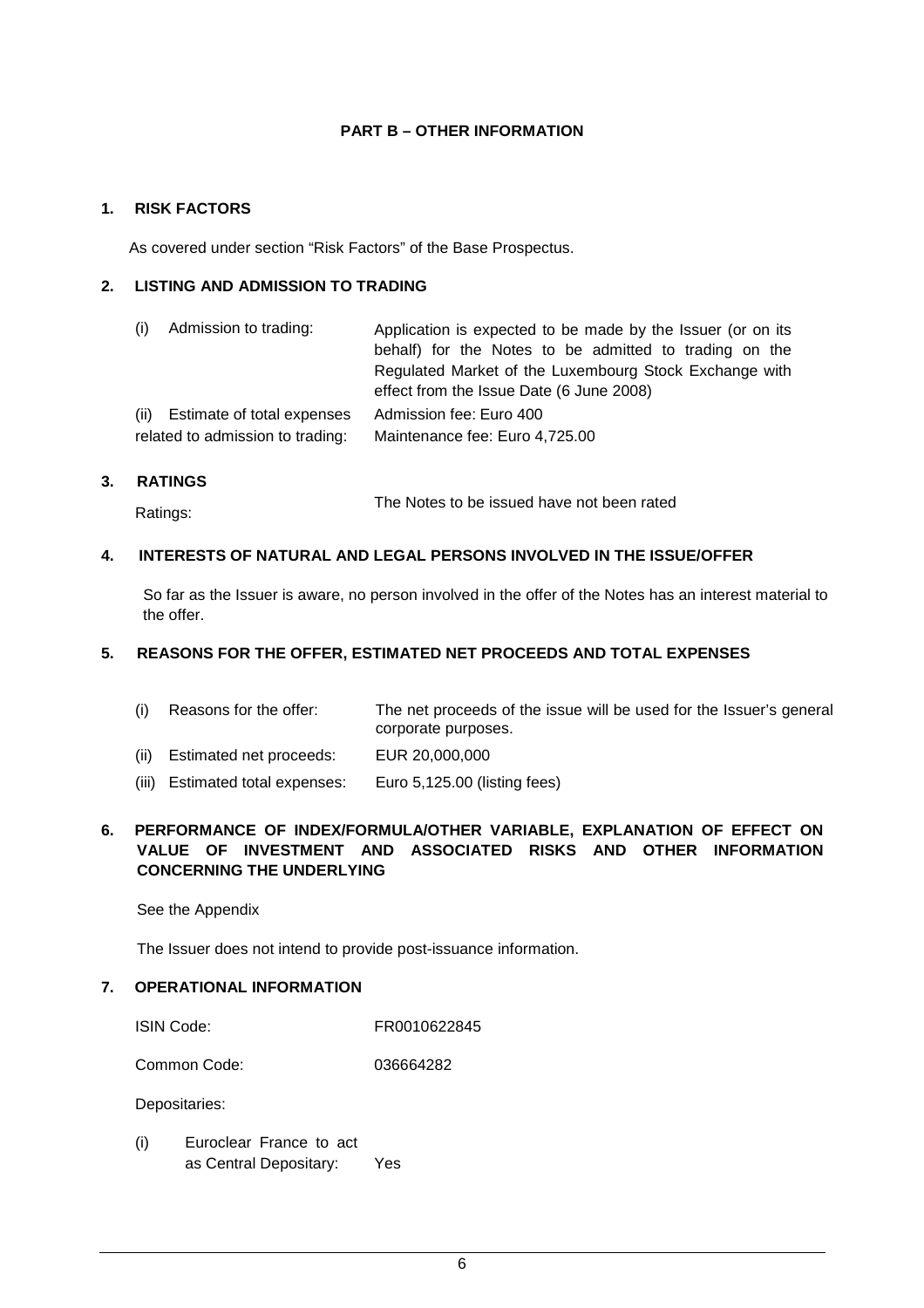# **PART B – OTHER INFORMATION**

### **1. RISK FACTORS**

As covered under section "Risk Factors" of the Base Prospectus.

# **2. LISTING AND ADMISSION TO TRADING**

| (i) Admission to trading:        | Application is expected to be made by the Issuer (or on its<br>behalf) for the Notes to be admitted to trading on the<br>Regulated Market of the Luxembourg Stock Exchange with<br>effect from the Issue Date (6 June 2008) |
|----------------------------------|-----------------------------------------------------------------------------------------------------------------------------------------------------------------------------------------------------------------------------|
| (ii) Estimate of total expenses  | Admission fee: Euro 400                                                                                                                                                                                                     |
| related to admission to trading: | Maintenance fee: Euro 4,725.00                                                                                                                                                                                              |

# **3. RATINGS**

Ratings: The Notes to be issued have not been rated

# **4. INTERESTS OF NATURAL AND LEGAL PERSONS INVOLVED IN THE ISSUE/OFFER**

So far as the Issuer is aware, no person involved in the offer of the Notes has an interest material to the offer.

# **5. REASONS FOR THE OFFER, ESTIMATED NET PROCEEDS AND TOTAL EXPENSES**

| (i) Reasons for the offer: | The net proceeds of the issue will be used for the Issuer's general |
|----------------------------|---------------------------------------------------------------------|
|                            | corporate purposes.                                                 |

- (ii) Estimated net proceeds: EUR 20,000,000
- (iii) Estimated total expenses: Euro 5,125.00 (listing fees)

# **6. PERFORMANCE OF INDEX/FORMULA/OTHER VARIABLE, EXPLANATION OF EFFECT ON VALUE OF INVESTMENT AND ASSOCIATED RISKS AND OTHER INFORMATION CONCERNING THE UNDERLYING**

See the Appendix

The Issuer does not intend to provide post-issuance information.

# **7. OPERATIONAL INFORMATION**

| <b>ISIN Code:</b> | FR0010622845 |
|-------------------|--------------|
|-------------------|--------------|

Common Code: 036664282

Depositaries:

(i) Euroclear France to act as Central Depositary: Yes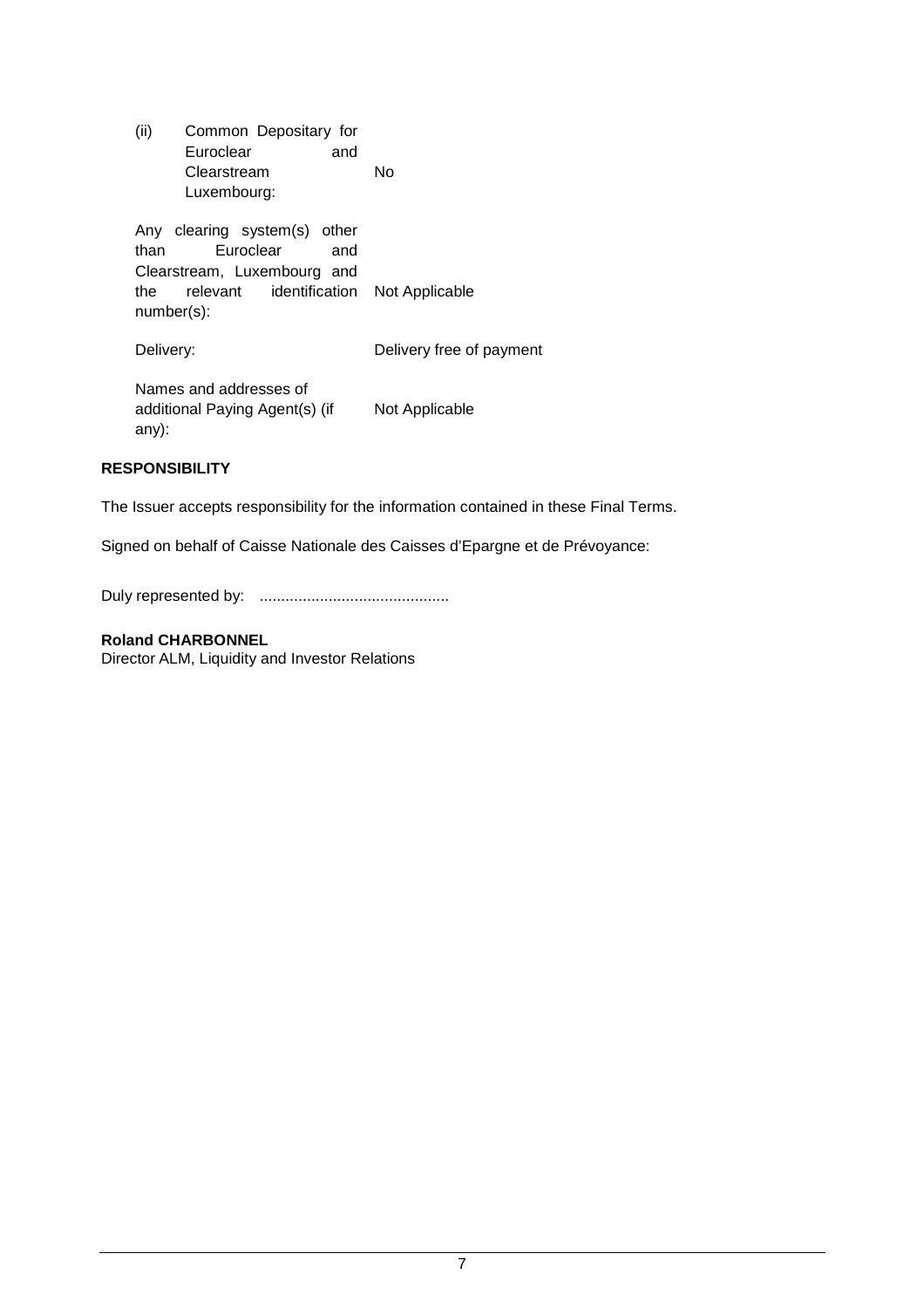| (ii)<br>Common Depositary for<br>Euroclear<br>and<br>Clearstream<br>Luxembourg:                                                          | N٥                       |
|------------------------------------------------------------------------------------------------------------------------------------------|--------------------------|
| Any clearing system(s) other<br>Euroclear<br>than<br>and<br>Clearstream, Luxembourg and<br>relevant identification<br>the.<br>number(s): | Not Applicable           |
| Delivery:                                                                                                                                | Delivery free of payment |
| Names and addresses of<br>additional Paying Agent(s) (if<br>any):                                                                        | Not Applicable           |

# **RESPONSIBILITY**

The Issuer accepts responsibility for the information contained in these Final Terms.

Signed on behalf of Caisse Nationale des Caisses d'Epargne et de Prévoyance:

Duly represented by: ............................................

# **Roland CHARBONNEL**

Director ALM, Liquidity and Investor Relations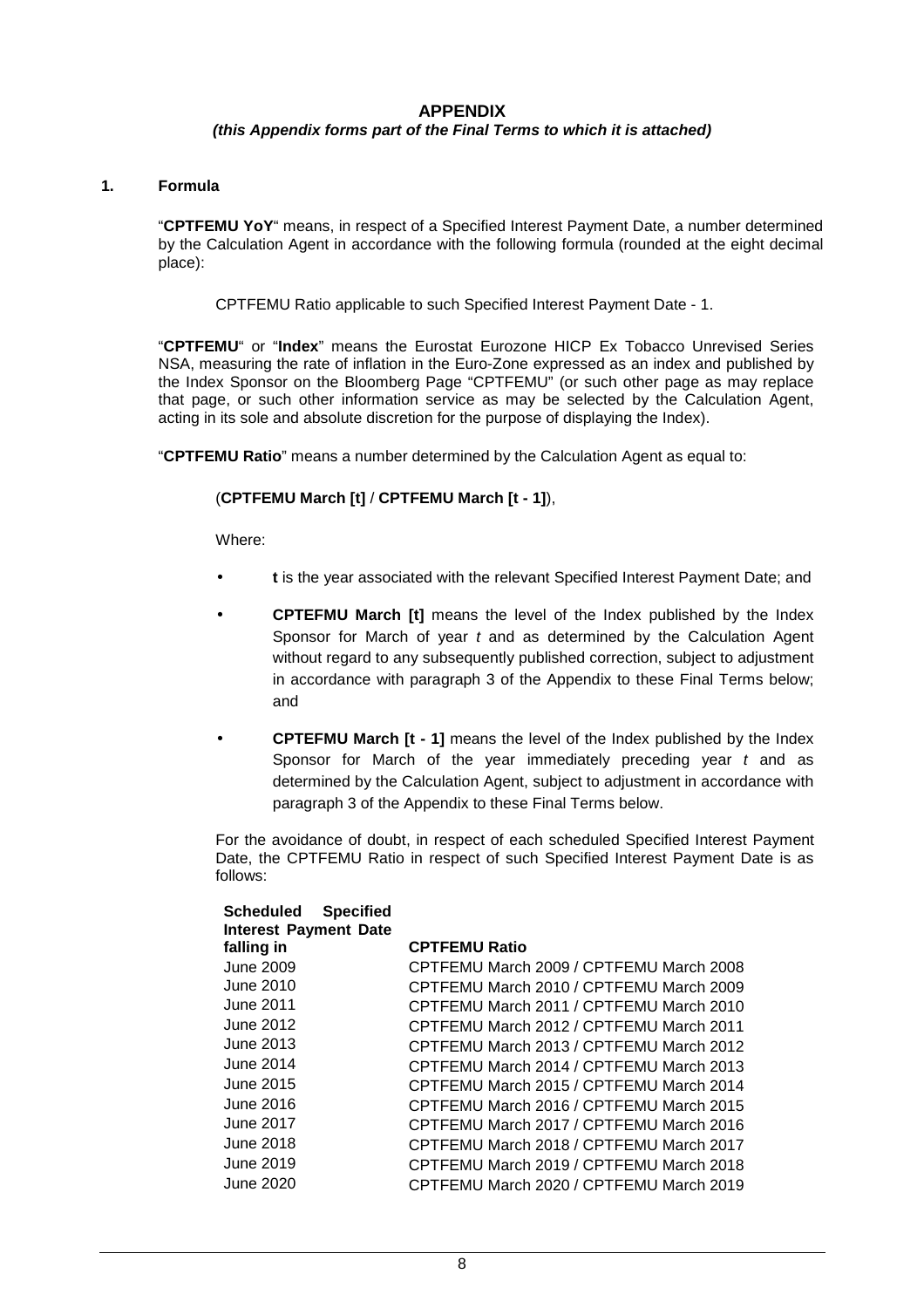# **APPENDIX**

### **(this Appendix forms part of the Final Terms to which it is attached)**

### **1. Formula**

"**CPTFEMU YoY**" means, in respect of a Specified Interest Payment Date, a number determined by the Calculation Agent in accordance with the following formula (rounded at the eight decimal place):

CPTFEMU Ratio applicable to such Specified Interest Payment Date - 1.

"**CPTFEMU**" or "**Index**" means the Eurostat Eurozone HICP Ex Tobacco Unrevised Series NSA, measuring the rate of inflation in the Euro-Zone expressed as an index and published by the Index Sponsor on the Bloomberg Page "CPTFEMU" (or such other page as may replace that page, or such other information service as may be selected by the Calculation Agent, acting in its sole and absolute discretion for the purpose of displaying the Index).

"**CPTFEMU Ratio**" means a number determined by the Calculation Agent as equal to:

### (**CPTFEMU March [t]** / **CPTFEMU March [t - 1]**),

Where:

- **t** is the year associated with the relevant Specified Interest Payment Date; and
- **CPTEFMU March [t]** means the level of the Index published by the Index Sponsor for March of year  $t$  and as determined by the Calculation Agent without regard to any subsequently published correction, subject to adjustment in accordance with paragraph 3 of the Appendix to these Final Terms below; and
- **CPTEFMU March [t 1]** means the level of the Index published by the Index Sponsor for March of the year immediately preceding year  $t$  and as determined by the Calculation Agent, subject to adjustment in accordance with paragraph 3 of the Appendix to these Final Terms below.

For the avoidance of doubt, in respect of each scheduled Specified Interest Payment Date, the CPTFEMU Ratio in respect of such Specified Interest Payment Date is as follows:

| <b>Scheduled</b><br><b>Specified</b> |                                         |
|--------------------------------------|-----------------------------------------|
| <b>Interest Payment Date</b>         |                                         |
| falling in                           | <b>CPTFEMU Ratio</b>                    |
| June 2009                            | CPTFEMU March 2009 / CPTFEMU March 2008 |
| June 2010                            | CPTFEMU March 2010 / CPTFEMU March 2009 |
| June 2011                            | CPTFEMU March 2011 / CPTFEMU March 2010 |
| June 2012                            | CPTFEMU March 2012 / CPTFEMU March 2011 |
| June 2013                            | CPTFEMU March 2013 / CPTFEMU March 2012 |
| June 2014                            | CPTFEMU March 2014 / CPTFEMU March 2013 |
| June 2015                            | CPTFEMU March 2015 / CPTFEMU March 2014 |
| June 2016                            | CPTFEMU March 2016 / CPTFEMU March 2015 |
| June 2017                            | CPTFEMU March 2017 / CPTFEMU March 2016 |
| June 2018                            | CPTFEMU March 2018 / CPTFEMU March 2017 |
| June 2019                            | CPTFEMU March 2019 / CPTFEMU March 2018 |
| June 2020                            | CPTFEMU March 2020 / CPTFEMU March 2019 |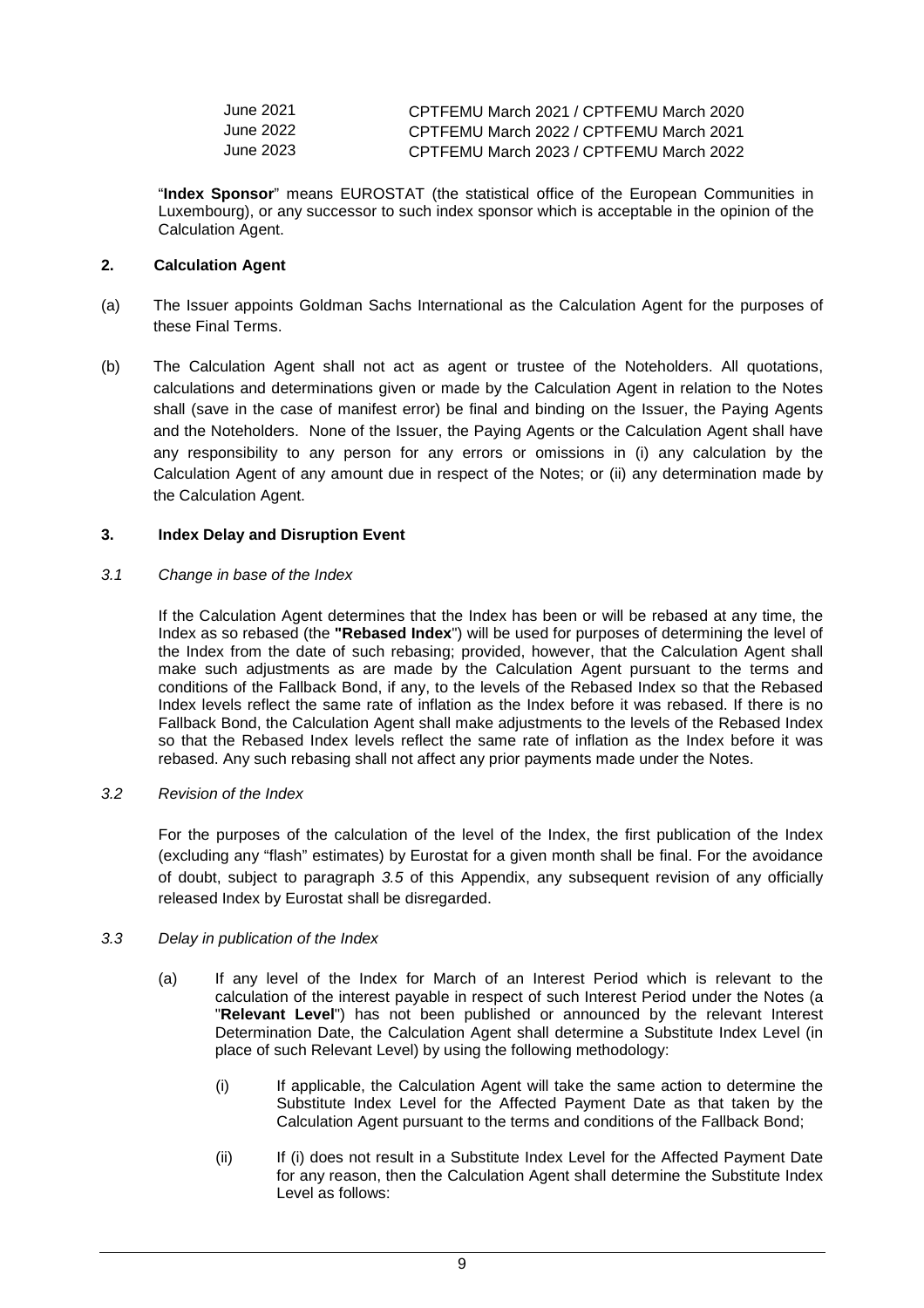| June 2021 | CPTFEMU March 2021 / CPTFEMU March 2020 |
|-----------|-----------------------------------------|
| June 2022 | CPTFEMU March 2022 / CPTFEMU March 2021 |
| June 2023 | CPTFEMU March 2023 / CPTFEMU March 2022 |

"**Index Sponsor**" means EUROSTAT (the statistical office of the European Communities in Luxembourg), or any successor to such index sponsor which is acceptable in the opinion of the Calculation Agent.

# **2. Calculation Agent**

- (a) The Issuer appoints Goldman Sachs International as the Calculation Agent for the purposes of these Final Terms.
- (b) The Calculation Agent shall not act as agent or trustee of the Noteholders. All quotations, calculations and determinations given or made by the Calculation Agent in relation to the Notes shall (save in the case of manifest error) be final and binding on the Issuer, the Paying Agents and the Noteholders. None of the Issuer, the Paying Agents or the Calculation Agent shall have any responsibility to any person for any errors or omissions in (i) any calculation by the Calculation Agent of any amount due in respect of the Notes; or (ii) any determination made by the Calculation Agent.

# **3. Index Delay and Disruption Event**

### 3.1 Change in base of the Index

If the Calculation Agent determines that the Index has been or will be rebased at any time, the Index as so rebased (the **"Rebased Index**") will be used for purposes of determining the level of the Index from the date of such rebasing; provided, however, that the Calculation Agent shall make such adjustments as are made by the Calculation Agent pursuant to the terms and conditions of the Fallback Bond, if any, to the levels of the Rebased Index so that the Rebased Index levels reflect the same rate of inflation as the Index before it was rebased. If there is no Fallback Bond, the Calculation Agent shall make adjustments to the levels of the Rebased Index so that the Rebased Index levels reflect the same rate of inflation as the Index before it was rebased. Any such rebasing shall not affect any prior payments made under the Notes.

### 3.2 Revision of the Index

 For the purposes of the calculation of the level of the Index, the first publication of the Index (excluding any "flash" estimates) by Eurostat for a given month shall be final. For the avoidance of doubt, subject to paragraph 3.5 of this Appendix, any subsequent revision of any officially released Index by Eurostat shall be disregarded.

### 3.3 Delay in publication of the Index

- (a) If any level of the Index for March of an Interest Period which is relevant to the calculation of the interest payable in respect of such Interest Period under the Notes (a "**Relevant Level**") has not been published or announced by the relevant Interest Determination Date, the Calculation Agent shall determine a Substitute Index Level (in place of such Relevant Level) by using the following methodology:
	- (i) If applicable, the Calculation Agent will take the same action to determine the Substitute Index Level for the Affected Payment Date as that taken by the Calculation Agent pursuant to the terms and conditions of the Fallback Bond;
	- (ii) If (i) does not result in a Substitute Index Level for the Affected Payment Date for any reason, then the Calculation Agent shall determine the Substitute Index Level as follows: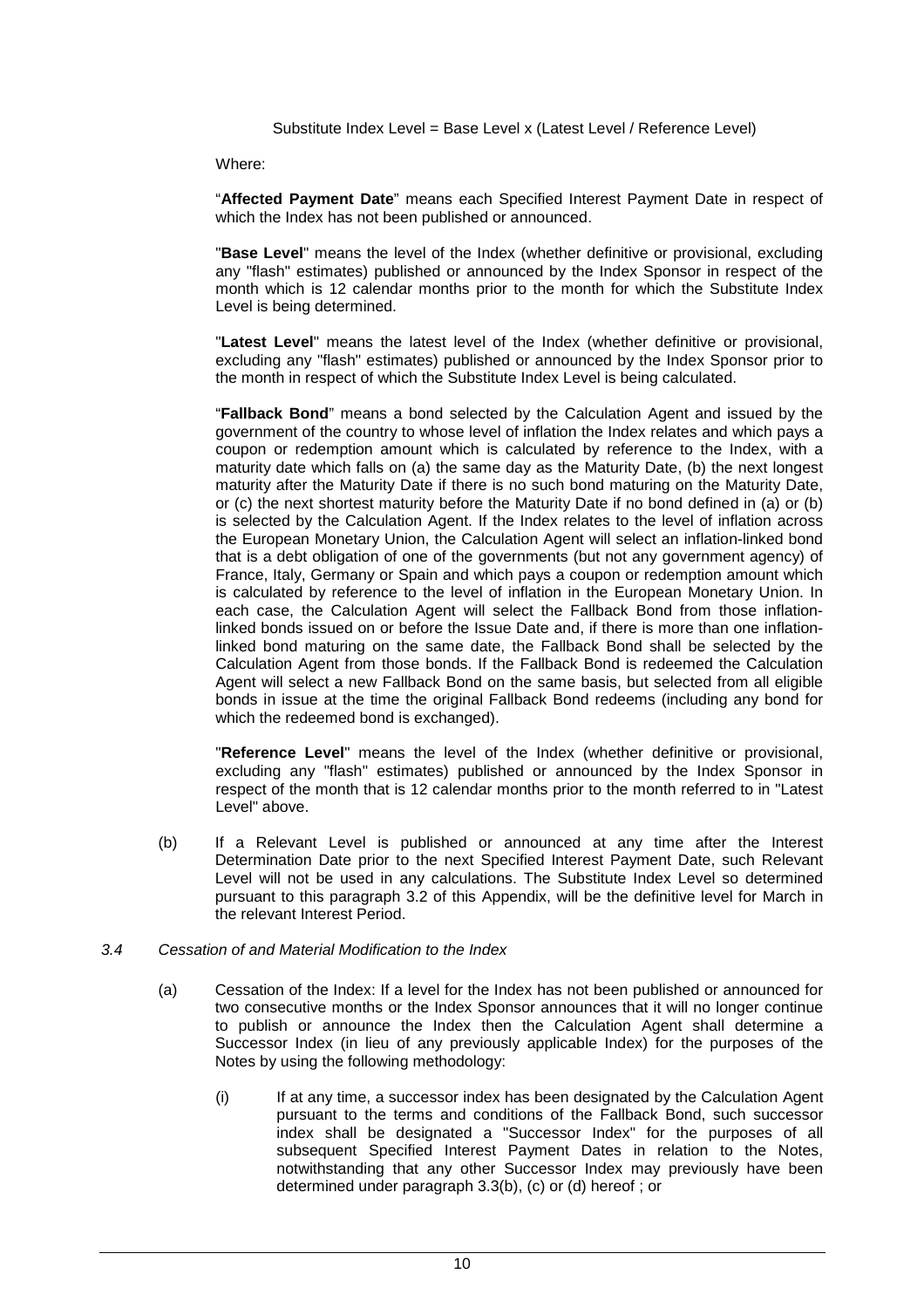Substitute Index Level = Base Level x (Latest Level / Reference Level)

Where:

"**Affected Payment Date**" means each Specified Interest Payment Date in respect of which the Index has not been published or announced.

"**Base Level**" means the level of the Index (whether definitive or provisional, excluding any "flash" estimates) published or announced by the Index Sponsor in respect of the month which is 12 calendar months prior to the month for which the Substitute Index Level is being determined.

"**Latest Level**" means the latest level of the Index (whether definitive or provisional, excluding any "flash" estimates) published or announced by the Index Sponsor prior to the month in respect of which the Substitute Index Level is being calculated.

"**Fallback Bond**" means a bond selected by the Calculation Agent and issued by the government of the country to whose level of inflation the Index relates and which pays a coupon or redemption amount which is calculated by reference to the Index, with a maturity date which falls on (a) the same day as the Maturity Date, (b) the next longest maturity after the Maturity Date if there is no such bond maturing on the Maturity Date, or (c) the next shortest maturity before the Maturity Date if no bond defined in (a) or (b) is selected by the Calculation Agent. If the Index relates to the level of inflation across the European Monetary Union, the Calculation Agent will select an inflation-linked bond that is a debt obligation of one of the governments (but not any government agency) of France, Italy, Germany or Spain and which pays a coupon or redemption amount which is calculated by reference to the level of inflation in the European Monetary Union. In each case, the Calculation Agent will select the Fallback Bond from those inflationlinked bonds issued on or before the Issue Date and, if there is more than one inflationlinked bond maturing on the same date, the Fallback Bond shall be selected by the Calculation Agent from those bonds. If the Fallback Bond is redeemed the Calculation Agent will select a new Fallback Bond on the same basis, but selected from all eligible bonds in issue at the time the original Fallback Bond redeems (including any bond for which the redeemed bond is exchanged).

"**Reference Level**" means the level of the Index (whether definitive or provisional, excluding any "flash" estimates) published or announced by the Index Sponsor in respect of the month that is 12 calendar months prior to the month referred to in "Latest Level" above.

(b) If a Relevant Level is published or announced at any time after the Interest Determination Date prior to the next Specified Interest Payment Date, such Relevant Level will not be used in any calculations. The Substitute Index Level so determined pursuant to this paragraph 3.2 of this Appendix, will be the definitive level for March in the relevant Interest Period.

### 3.4 Cessation of and Material Modification to the Index

- (a) Cessation of the Index: If a level for the Index has not been published or announced for two consecutive months or the Index Sponsor announces that it will no longer continue to publish or announce the Index then the Calculation Agent shall determine a Successor Index (in lieu of any previously applicable Index) for the purposes of the Notes by using the following methodology:
	- (i) If at any time, a successor index has been designated by the Calculation Agent pursuant to the terms and conditions of the Fallback Bond, such successor index shall be designated a "Successor Index" for the purposes of all subsequent Specified Interest Payment Dates in relation to the Notes, notwithstanding that any other Successor Index may previously have been determined under paragraph 3.3(b), (c) or (d) hereof ; or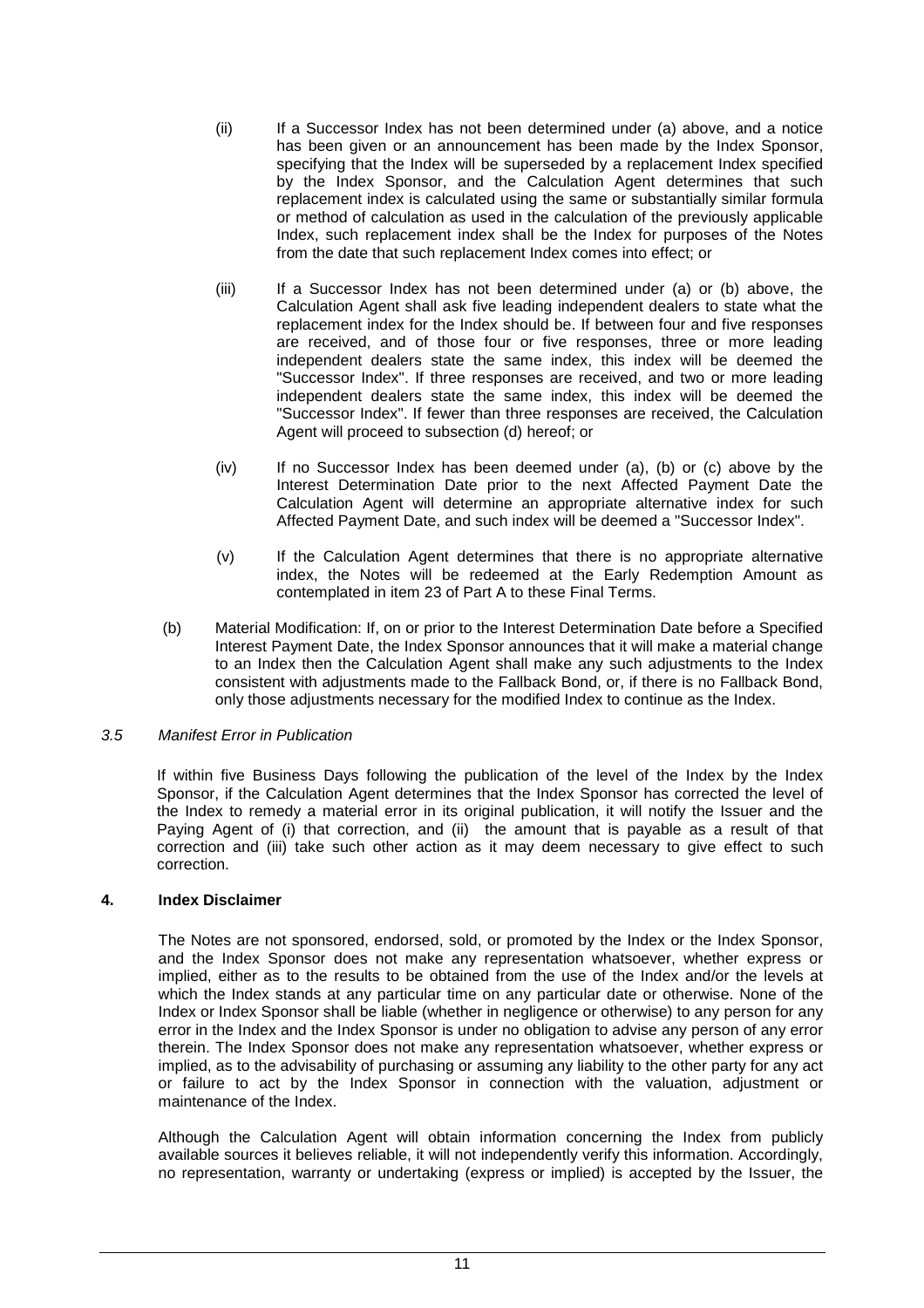- (ii) If a Successor Index has not been determined under (a) above, and a notice has been given or an announcement has been made by the Index Sponsor, specifying that the Index will be superseded by a replacement Index specified by the Index Sponsor, and the Calculation Agent determines that such replacement index is calculated using the same or substantially similar formula or method of calculation as used in the calculation of the previously applicable Index, such replacement index shall be the Index for purposes of the Notes from the date that such replacement Index comes into effect; or
- (iii) If a Successor Index has not been determined under (a) or (b) above, the Calculation Agent shall ask five leading independent dealers to state what the replacement index for the Index should be. If between four and five responses are received, and of those four or five responses, three or more leading independent dealers state the same index, this index will be deemed the "Successor Index". If three responses are received, and two or more leading independent dealers state the same index, this index will be deemed the "Successor Index". If fewer than three responses are received, the Calculation Agent will proceed to subsection (d) hereof; or
- (iv) If no Successor Index has been deemed under (a), (b) or (c) above by the Interest Determination Date prior to the next Affected Payment Date the Calculation Agent will determine an appropriate alternative index for such Affected Payment Date, and such index will be deemed a "Successor Index".
- (v) If the Calculation Agent determines that there is no appropriate alternative index, the Notes will be redeemed at the Early Redemption Amount as contemplated in item 23 of Part A to these Final Terms.
- (b) Material Modification: If, on or prior to the Interest Determination Date before a Specified Interest Payment Date, the Index Sponsor announces that it will make a material change to an Index then the Calculation Agent shall make any such adjustments to the Index consistent with adjustments made to the Fallback Bond, or, if there is no Fallback Bond, only those adjustments necessary for the modified Index to continue as the Index.

### 3.5 Manifest Error in Publication

If within five Business Days following the publication of the level of the Index by the Index Sponsor, if the Calculation Agent determines that the Index Sponsor has corrected the level of the Index to remedy a material error in its original publication, it will notify the Issuer and the Paying Agent of (i) that correction, and (ii) the amount that is payable as a result of that correction and (iii) take such other action as it may deem necessary to give effect to such correction.

# **4. Index Disclaimer**

The Notes are not sponsored, endorsed, sold, or promoted by the Index or the Index Sponsor, and the Index Sponsor does not make any representation whatsoever, whether express or implied, either as to the results to be obtained from the use of the Index and/or the levels at which the Index stands at any particular time on any particular date or otherwise. None of the Index or Index Sponsor shall be liable (whether in negligence or otherwise) to any person for any error in the Index and the Index Sponsor is under no obligation to advise any person of any error therein. The Index Sponsor does not make any representation whatsoever, whether express or implied, as to the advisability of purchasing or assuming any liability to the other party for any act or failure to act by the Index Sponsor in connection with the valuation, adjustment or maintenance of the Index.

Although the Calculation Agent will obtain information concerning the Index from publicly available sources it believes reliable, it will not independently verify this information. Accordingly, no representation, warranty or undertaking (express or implied) is accepted by the Issuer, the